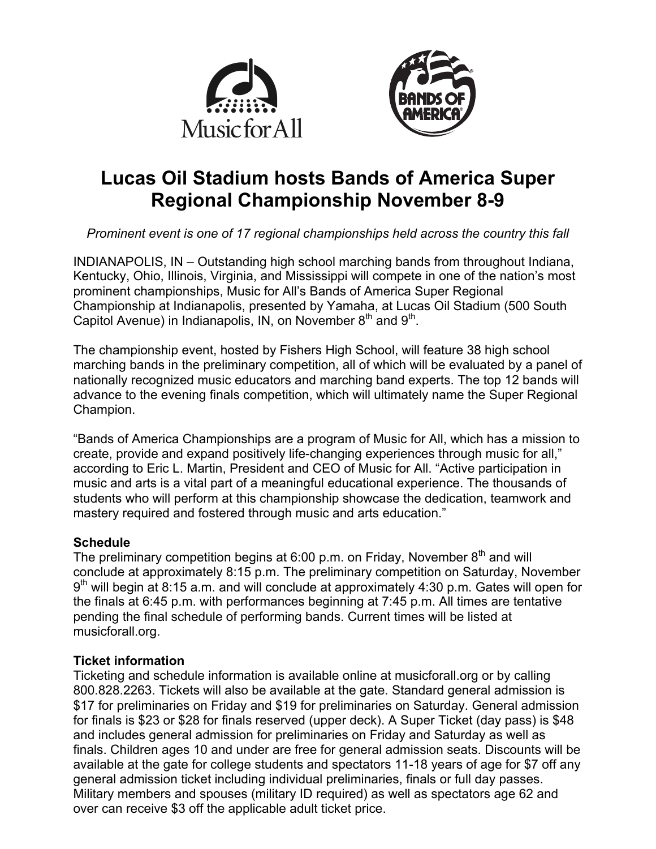



# **Lucas Oil Stadium hosts Bands of America Super Regional Championship November 8-9**

*Prominent event is one of 17 regional championships held across the country this fall*

INDIANAPOLIS, IN – Outstanding high school marching bands from throughout Indiana, Kentucky, Ohio, Illinois, Virginia, and Mississippi will compete in one of the nation's most prominent championships, Music for All's Bands of America Super Regional Championship at Indianapolis, presented by Yamaha, at Lucas Oil Stadium (500 South Capitol Avenue) in Indianapolis, IN, on November  $8<sup>th</sup>$  and  $9<sup>th</sup>$ .

The championship event, hosted by Fishers High School, will feature 38 high school marching bands in the preliminary competition, all of which will be evaluated by a panel of nationally recognized music educators and marching band experts. The top 12 bands will advance to the evening finals competition, which will ultimately name the Super Regional Champion.

"Bands of America Championships are a program of Music for All, which has a mission to create, provide and expand positively life-changing experiences through music for all," according to Eric L. Martin, President and CEO of Music for All. "Active participation in music and arts is a vital part of a meaningful educational experience. The thousands of students who will perform at this championship showcase the dedication, teamwork and mastery required and fostered through music and arts education."

# **Schedule**

The preliminary competition begins at 6:00 p.m. on Friday, November  $8<sup>th</sup>$  and will conclude at approximately 8:15 p.m. The preliminary competition on Saturday, November  $9<sup>th</sup>$  will begin at 8:15 a.m. and will conclude at approximately 4:30 p.m. Gates will open for the finals at 6:45 p.m. with performances beginning at 7:45 p.m. All times are tentative pending the final schedule of performing bands. Current times will be listed at musicforall.org.

# **Ticket information**

Ticketing and schedule information is available online at musicforall.org or by calling 800.828.2263. Tickets will also be available at the gate. Standard general admission is \$17 for preliminaries on Friday and \$19 for preliminaries on Saturday. General admission for finals is \$23 or \$28 for finals reserved (upper deck). A Super Ticket (day pass) is \$48 and includes general admission for preliminaries on Friday and Saturday as well as finals. Children ages 10 and under are free for general admission seats. Discounts will be available at the gate for college students and spectators 11-18 years of age for \$7 off any general admission ticket including individual preliminaries, finals or full day passes. Military members and spouses (military ID required) as well as spectators age 62 and over can receive \$3 off the applicable adult ticket price.